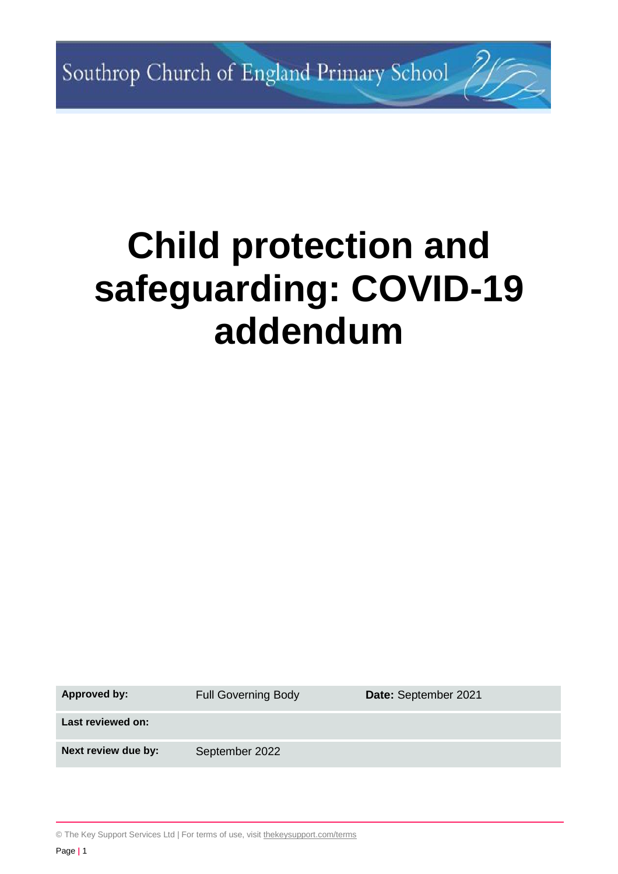# **Child protection and safeguarding: COVID-19 addendum**

**Approved by:** Full Governing Body **Date:** September 2021

**Last reviewed on:**

Next review due by: September 2022

© The Key Support Services Ltd | For terms of use, visit [thekeysupport.com/terms](https://thekeysupport.com/terms-of-use)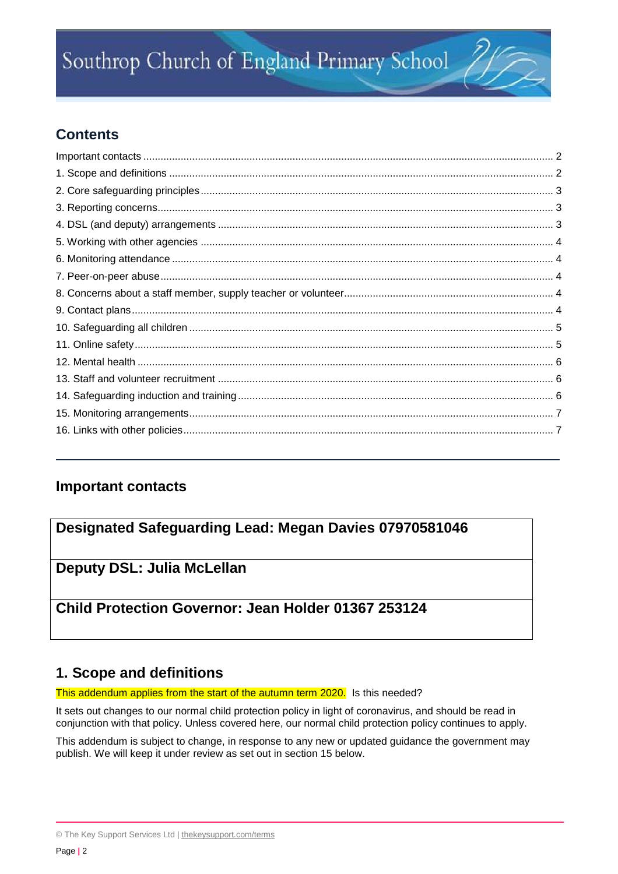# **Contents**

# <span id="page-1-0"></span>**Important contacts**

# **Designated Safeguarding Lead: Megan Davies 07970581046**

# **Deputy DSL: Julia McLellan**

# **Child Protection Governor: Jean Holder 01367 253124**

# <span id="page-1-1"></span>**1. Scope and definitions**

This addendum applies from the start of the autumn term 2020. Is this needed?

It sets out changes to our normal child protection policy in light of coronavirus, and should be read in conjunction with that policy. Unless covered here, our normal child protection policy continues to apply.

This addendum is subject to change, in response to any new or updated guidance the government may publish. We will keep it under review as set out in section 15 below.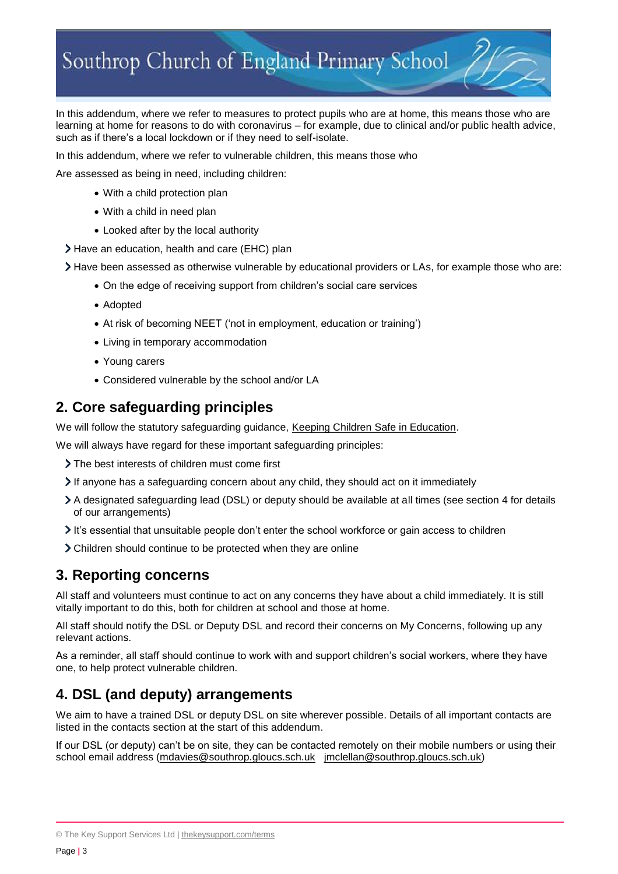In this addendum, where we refer to measures to protect pupils who are at home, this means those who are learning at home for reasons to do with coronavirus – for example, due to clinical and/or public health advice, such as if there's a local lockdown or if they need to self-isolate.

In this addendum, where we refer to vulnerable children, this means those who

Are assessed as being in need, including children:

- With a child protection plan
- With a child in need plan
- Looked after by the local authority
- Have an education, health and care (EHC) plan

Have been assessed as otherwise vulnerable by educational providers or LAs, for example those who are:

- On the edge of receiving support from children's social care services
- Adopted
- At risk of becoming NEET ('not in employment, education or training')
- Living in temporary accommodation
- Young carers
- Considered vulnerable by the school and/or LA

#### <span id="page-2-0"></span>**2. Core safeguarding principles**

We will follow the statutory safeguarding guidance, [Keeping Children Safe in Education.](https://www.gov.uk/government/publications/keeping-children-safe-in-education--2)

We will always have regard for these important safeguarding principles:

- The best interests of children must come first
- $\triangleright$  If anyone has a safeguarding concern about any child, they should act on it immediately
- A designated safeguarding lead (DSL) or deputy should be available at all times (see section 4 for details of our arrangements)
- It's essential that unsuitable people don't enter the school workforce or gain access to children
- Children should continue to be protected when they are online

#### <span id="page-2-1"></span>**3. Reporting concerns**

All staff and volunteers must continue to act on any concerns they have about a child immediately. It is still vitally important to do this, both for children at school and those at home.

All staff should notify the DSL or Deputy DSL and record their concerns on My Concerns, following up any relevant actions.

As a reminder, all staff should continue to work with and support children's social workers, where they have one, to help protect vulnerable children.

# <span id="page-2-2"></span>**4. DSL (and deputy) arrangements**

We aim to have a trained DSL or deputy DSL on site wherever possible. Details of all important contacts are listed in the contacts section at the start of this addendum.

If our DSL (or deputy) can't be on site, they can be contacted remotely on their mobile numbers or using their school email address [\(mdavies@southrop.gloucs.sch.uk](mailto:mdavies@southrop.gloucs.sch.uk) [jmclellan@southrop.gloucs.sch.uk\)](mailto:jmclellan@southrop.gloucs.sch.uk)

<sup>©</sup> The Key Support Services Ltd | [thekeysupport.com/terms](https://thekeysupport.com/terms-of-use)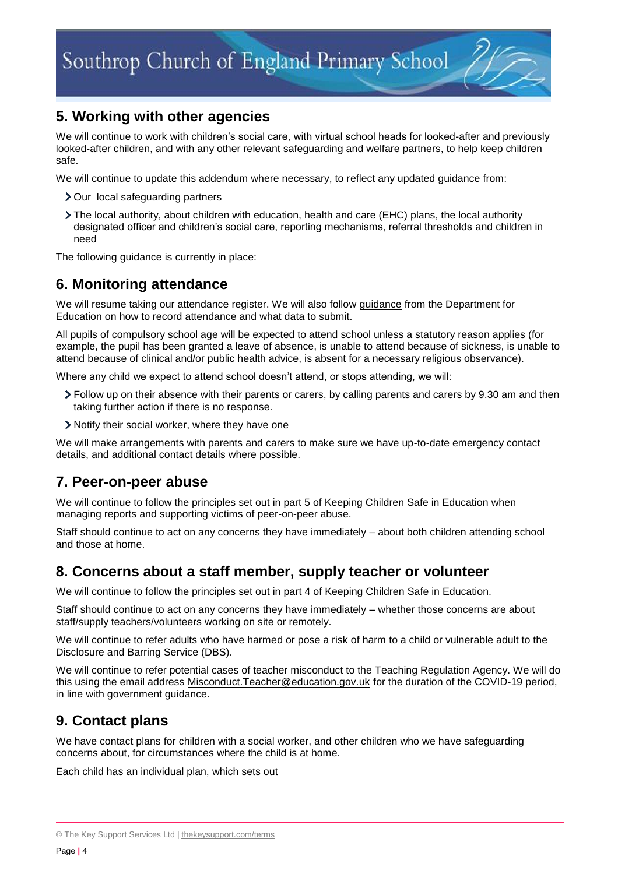# <span id="page-3-0"></span>**5. Working with other agencies**

We will continue to work with children's social care, with virtual school heads for looked-after and previously looked-after children, and with any other relevant safeguarding and welfare partners, to help keep children safe.

We will continue to update this addendum where necessary, to reflect any updated guidance from:

- > Our local safeguarding partners
- The local authority, about children with education, health and care (EHC) plans, the local authority designated officer and children's social care, reporting mechanisms, referral thresholds and children in need

The following guidance is currently in place:

#### <span id="page-3-1"></span>**6. Monitoring attendance**

We will resume taking our attendance register. We will also follow [guidance](https://www.gov.uk/government/publications/school-attendance) from the Department for Education on how to record attendance and what data to submit.

All pupils of compulsory school age will be expected to attend school unless a statutory reason applies (for example, the pupil has been granted a leave of absence, is unable to attend because of sickness, is unable to attend because of clinical and/or public health advice, is absent for a necessary religious observance).

Where any child we expect to attend school doesn't attend, or stops attending, we will:

- Follow up on their absence with their parents or carers, by calling parents and carers by 9.30 am and then taking further action if there is no response.
- Notify their social worker, where they have one

We will make arrangements with parents and carers to make sure we have up-to-date emergency contact details, and additional contact details where possible.

#### <span id="page-3-2"></span>**7. Peer-on-peer abuse**

We will continue to follow the principles set out in part 5 of Keeping Children Safe in Education when managing reports and supporting victims of peer-on-peer abuse.

Staff should continue to act on any concerns they have immediately – about both children attending school and those at home.

#### <span id="page-3-3"></span>**8. Concerns about a staff member, supply teacher or volunteer**

We will continue to follow the principles set out in part 4 of Keeping Children Safe in Education.

Staff should continue to act on any concerns they have immediately – whether those concerns are about staff/supply teachers/volunteers working on site or remotely.

We will continue to refer adults who have harmed or pose a risk of harm to a child or vulnerable adult to the Disclosure and Barring Service (DBS).

We will continue to refer potential cases of teacher misconduct to the Teaching Regulation Agency. We will do this using the email address Misconduct. Teacher@education.gov.uk for the duration of the COVID-19 period, in line with government guidance.

# <span id="page-3-4"></span>**9. Contact plans**

We have contact plans for children with a social worker, and other children who we have safeguarding concerns about, for circumstances where the child is at home.

Each child has an individual plan, which sets out

<sup>©</sup> The Key Support Services Ltd | [thekeysupport.com/terms](https://thekeysupport.com/terms-of-use)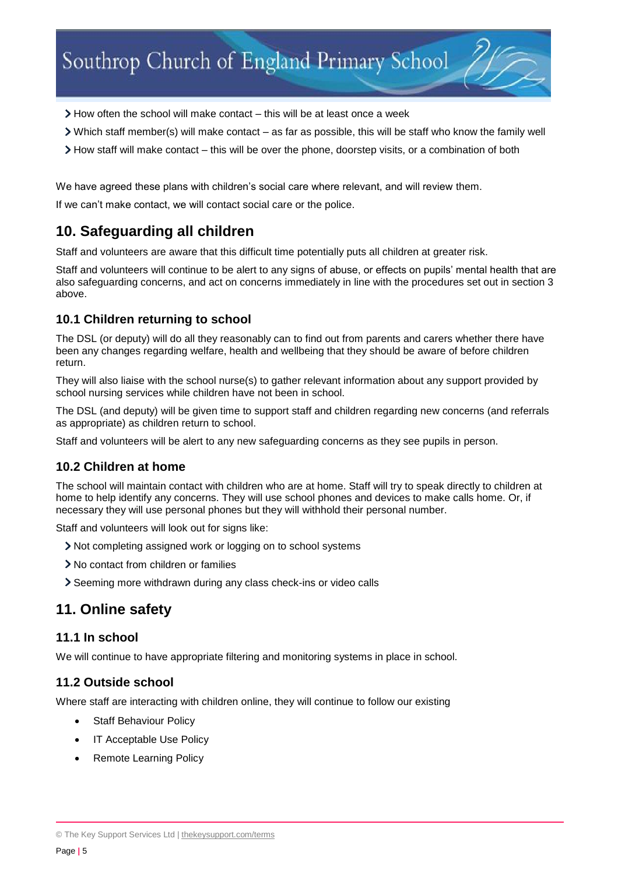- $\geq$  How often the school will make contact this will be at least once a week
- Which staff member(s) will make contact as far as possible, this will be staff who know the family well
- How staff will make contact this will be over the phone, doorstep visits, or a combination of both

We have agreed these plans with children's social care where relevant, and will review them.

If we can't make contact, we will contact social care or the police.

#### <span id="page-4-0"></span>**10. Safeguarding all children**

Staff and volunteers are aware that this difficult time potentially puts all children at greater risk.

Staff and volunteers will continue to be alert to any signs of abuse, or effects on pupils' mental health that are also safeguarding concerns, and act on concerns immediately in line with the procedures set out in section 3 above.

#### **10.1 Children returning to school**

The DSL (or deputy) will do all they reasonably can to find out from parents and carers whether there have been any changes regarding welfare, health and wellbeing that they should be aware of before children return.

They will also liaise with the school nurse(s) to gather relevant information about any support provided by school nursing services while children have not been in school.

The DSL (and deputy) will be given time to support staff and children regarding new concerns (and referrals as appropriate) as children return to school.

Staff and volunteers will be alert to any new safeguarding concerns as they see pupils in person.

#### **10.2 Children at home**

The school will maintain contact with children who are at home. Staff will try to speak directly to children at home to help identify any concerns. They will use school phones and devices to make calls home. Or, if necessary they will use personal phones but they will withhold their personal number.

Staff and volunteers will look out for signs like:

- Not completing assigned work or logging on to school systems
- No contact from children or families
- Seeming more withdrawn during any class check-ins or video calls

#### <span id="page-4-1"></span>**11. Online safety**

#### **11.1 In school**

We will continue to have appropriate filtering and monitoring systems in place in school.

#### **11.2 Outside school**

Where staff are interacting with children online, they will continue to follow our existing

- Staff Behaviour Policy
- IT Acceptable Use Policy
- Remote Learning Policy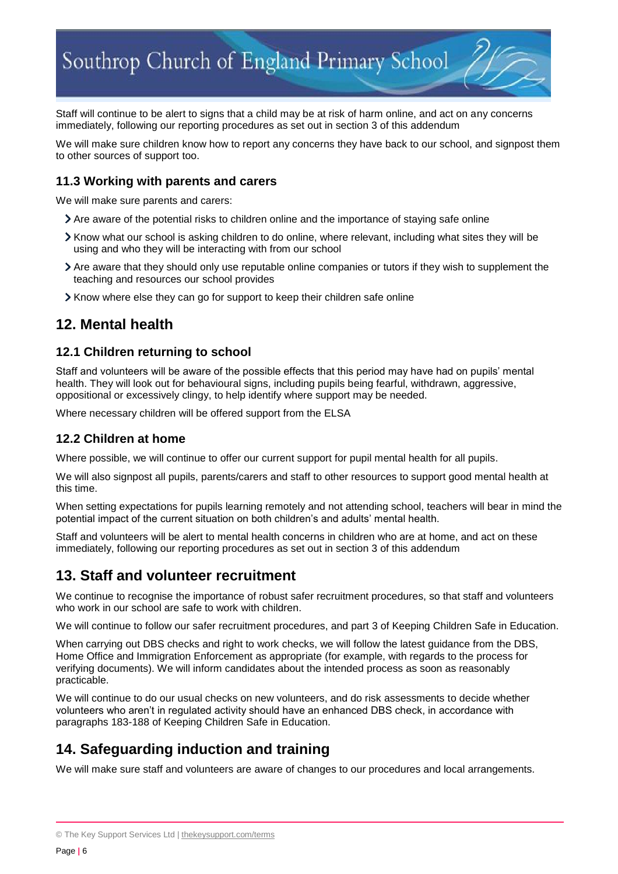Staff will continue to be alert to signs that a child may be at risk of harm online, and act on any concerns immediately, following our reporting procedures as set out in section 3 of this addendum

We will make sure children know how to report any concerns they have back to our school, and signpost them to other sources of support too.

#### **11.3 Working with parents and carers**

We will make sure parents and carers:

- Are aware of the potential risks to children online and the importance of staying safe online
- Know what our school is asking children to do online, where relevant, including what sites they will be using and who they will be interacting with from our school
- Are aware that they should only use reputable online companies or tutors if they wish to supplement the teaching and resources our school provides
- Know where else they can go for support to keep their children safe online

#### <span id="page-5-0"></span>**12. Mental health**

#### **12.1 Children returning to school**

Staff and volunteers will be aware of the possible effects that this period may have had on pupils' mental health. They will look out for behavioural signs, including pupils being fearful, withdrawn, aggressive, oppositional or excessively clingy, to help identify where support may be needed.

Where necessary children will be offered support from the ELSA

#### **12.2 Children at home**

Where possible, we will continue to offer our current support for pupil mental health for all pupils.

We will also signpost all pupils, parents/carers and staff to other resources to support good mental health at this time.

When setting expectations for pupils learning remotely and not attending school, teachers will bear in mind the potential impact of the current situation on both children's and adults' mental health.

Staff and volunteers will be alert to mental health concerns in children who are at home, and act on these immediately, following our reporting procedures as set out in section 3 of this addendum

#### <span id="page-5-1"></span>**13. Staff and volunteer recruitment**

We continue to recognise the importance of robust safer recruitment procedures, so that staff and volunteers who work in our school are safe to work with children.

We will continue to follow our safer recruitment procedures, and part 3 of Keeping Children Safe in Education.

When carrying out DBS checks and right to work checks, we will follow the latest guidance from the DBS, Home Office and Immigration Enforcement as appropriate (for example, with regards to the process for verifying documents). We will inform candidates about the intended process as soon as reasonably practicable.

We will continue to do our usual checks on new volunteers, and do risk assessments to decide whether volunteers who aren't in regulated activity should have an enhanced DBS check, in accordance with paragraphs 183-188 of Keeping Children Safe in Education.

# <span id="page-5-2"></span>**14. Safeguarding induction and training**

We will make sure staff and volunteers are aware of changes to our procedures and local arrangements.